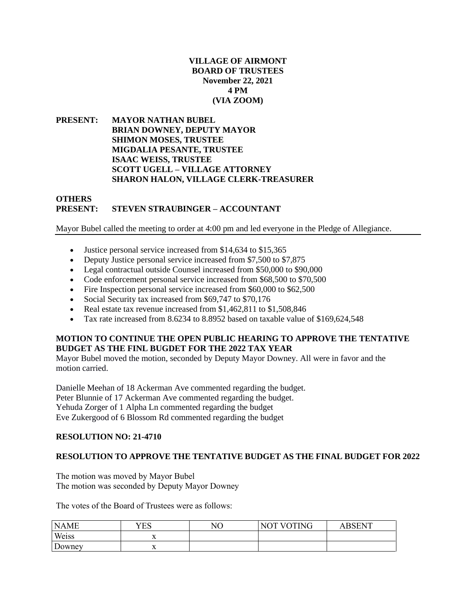#### **VILLAGE OF AIRMONT BOARD OF TRUSTEES November 22, 2021 4 PM (VIA ZOOM)**

**PRESENT: MAYOR NATHAN BUBEL BRIAN DOWNEY, DEPUTY MAYOR SHIMON MOSES, TRUSTEE MIGDALIA PESANTE, TRUSTEE ISAAC WEISS, TRUSTEE SCOTT UGELL – VILLAGE ATTORNEY SHARON HALON, VILLAGE CLERK-TREASURER**

#### **OTHERS PRESENT: STEVEN STRAUBINGER – ACCOUNTANT**

Mayor Bubel called the meeting to order at 4:00 pm and led everyone in the Pledge of Allegiance.

- Justice personal service increased from \$14,634 to \$15,365
- Deputy Justice personal service increased from \$7,500 to \$7,875
- Legal contractual outside Counsel increased from \$50,000 to \$90,000
- Code enforcement personal service increased from \$68,500 to \$70,500
- Fire Inspection personal service increased from \$60,000 to \$62,500
- Social Security tax increased from \$69,747 to \$70,176
- Real estate tax revenue increased from \$1,462,811 to \$1,508,846
- Tax rate increased from 8.6234 to 8.8952 based on taxable value of \$169,624,548

#### **MOTION TO CONTINUE THE OPEN PUBLIC HEARING TO APPROVE THE TENTATIVE BUDGET AS THE FINL BUGDET FOR THE 2022 TAX YEAR**

Mayor Bubel moved the motion, seconded by Deputy Mayor Downey. All were in favor and the motion carried.

Danielle Meehan of 18 Ackerman Ave commented regarding the budget. Peter Blunnie of 17 Ackerman Ave commented regarding the budget. Yehuda Zorger of 1 Alpha Ln commented regarding the budget Eve Zukergood of 6 Blossom Rd commented regarding the budget

#### **RESOLUTION NO: 21-4710**

#### **RESOLUTION TO APPROVE THE TENTATIVE BUDGET AS THE FINAL BUDGET FOR 2022**

The motion was moved by Mayor Bubel The motion was seconded by Deputy Mayor Downey

The votes of the Board of Trustees were as follows:

| <b>NAME</b> | YES            | NО | NOT VOTING | <b>RSENT</b> |
|-------------|----------------|----|------------|--------------|
| Weiss       | $\overline{ }$ |    |            |              |
| Downey      | $\lambda$      |    |            |              |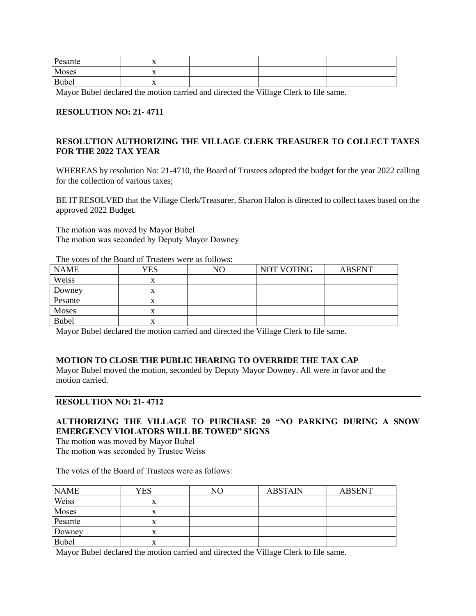| Pesante      | ∡⊾  |  |  |
|--------------|-----|--|--|
| Moses        | . . |  |  |
| <b>Bubel</b> | ∡⊾  |  |  |

Mayor Bubel declared the motion carried and directed the Village Clerk to file same.

#### **RESOLUTION NO: 21- 4711**

## **RESOLUTION AUTHORIZING THE VILLAGE CLERK TREASURER TO COLLECT TAXES FOR THE 2022 TAX YEAR**

WHEREAS by resolution No: 21-4710, the Board of Trustees adopted the budget for the year 2022 calling for the collection of various taxes;

BE IT RESOLVED that the Village Clerk/Treasurer, Sharon Halon is directed to collect taxes based on the approved 2022 Budget.

The motion was moved by Mayor Bubel The motion was seconded by Deputy Mayor Downey

| THE TOROGOT GIV LOGIN OF THROUGH HIGH WO FOLLOTION |     |    |                   |               |  |
|----------------------------------------------------|-----|----|-------------------|---------------|--|
| <b>NAME</b>                                        | YES | NO | <b>NOT VOTING</b> | <b>ABSENT</b> |  |
| Weiss                                              |     |    |                   |               |  |
| Downey                                             |     |    |                   |               |  |
| Pesante                                            |     |    |                   |               |  |
| Moses                                              | л   |    |                   |               |  |
| <b>Bubel</b>                                       | л   |    |                   |               |  |

The votes of the Board of Trustees were as follows:

Mayor Bubel declared the motion carried and directed the Village Clerk to file same.

#### **MOTION TO CLOSE THE PUBLIC HEARING TO OVERRIDE THE TAX CAP**

Mayor Bubel moved the motion, seconded by Deputy Mayor Downey. All were in favor and the motion carried.

#### **RESOLUTION NO: 21- 4712**

### **AUTHORIZING THE VILLAGE TO PURCHASE 20 "NO PARKING DURING A SNOW EMERGENCY VIOLATORS WILL BE TOWED" SIGNS**

The motion was moved by Mayor Bubel The motion was seconded by Trustee Weiss

The votes of the Board of Trustees were as follows:

| <b>NAME</b>  | YES | NО | <b>ABSTAIN</b> | <b>ABSENT</b> |
|--------------|-----|----|----------------|---------------|
| Weiss        |     |    |                |               |
| Moses        |     |    |                |               |
| Pesante      |     |    |                |               |
| Downey       |     |    |                |               |
| <b>Bubel</b> |     |    |                |               |

Mayor Bubel declared the motion carried and directed the Village Clerk to file same.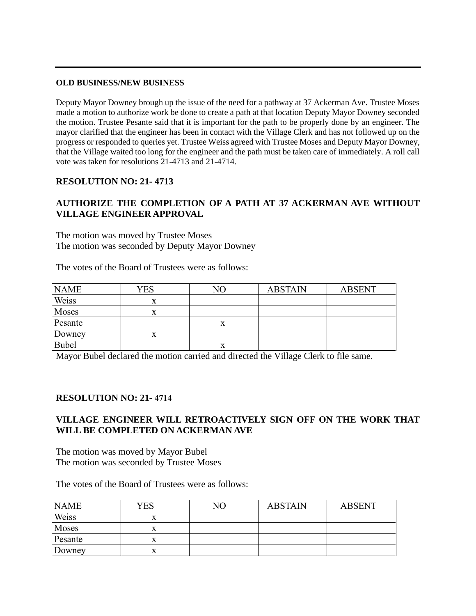#### **OLD BUSINESS/NEW BUSINESS**

Deputy Mayor Downey brough up the issue of the need for a pathway at 37 Ackerman Ave. Trustee Moses made a motion to authorize work be done to create a path at that location Deputy Mayor Downey seconded the motion. Trustee Pesante said that it is important for the path to be properly done by an engineer. The mayor clarified that the engineer has been in contact with the Village Clerk and has not followed up on the progress or responded to queries yet. Trustee Weiss agreed with Trustee Moses and Deputy Mayor Downey, that the Village waited too long for the engineer and the path must be taken care of immediately. A roll call vote was taken for resolutions 21-4713 and 21-4714.

## **RESOLUTION NO: 21- 4713**

# **AUTHORIZE THE COMPLETION OF A PATH AT 37 ACKERMAN AVE WITHOUT VILLAGE ENGINEER APPROVAL**

The motion was moved by Trustee Moses The motion was seconded by Deputy Mayor Downey

The votes of the Board of Trustees were as follows:

| <b>NAME</b> | <b>YES</b> | NΟ        | <b>ABSTAIN</b> | <b>ABSENT</b> |
|-------------|------------|-----------|----------------|---------------|
| Weiss       | л          |           |                |               |
| Moses       | X          |           |                |               |
| Pesante     |            |           |                |               |
| Downey      |            |           |                |               |
| Bubel       |            | $\Lambda$ |                |               |

Mayor Bubel declared the motion carried and directed the Village Clerk to file same.

### **RESOLUTION NO: 21- 4714**

# **VILLAGE ENGINEER WILL RETROACTIVELY SIGN OFF ON THE WORK THAT WILL BE COMPLETED ON ACKERMAN AVE**

The motion was moved by Mayor Bubel The motion was seconded by Trustee Moses

The votes of the Board of Trustees were as follows:

| <b>NAME</b> | YES | NO | <b>ABSTAIN</b> | <b>ABSENT</b> |
|-------------|-----|----|----------------|---------------|
| Weiss       | л   |    |                |               |
| Moses       | л   |    |                |               |
| Pesante     | ́́  |    |                |               |
| Downey      |     |    |                |               |